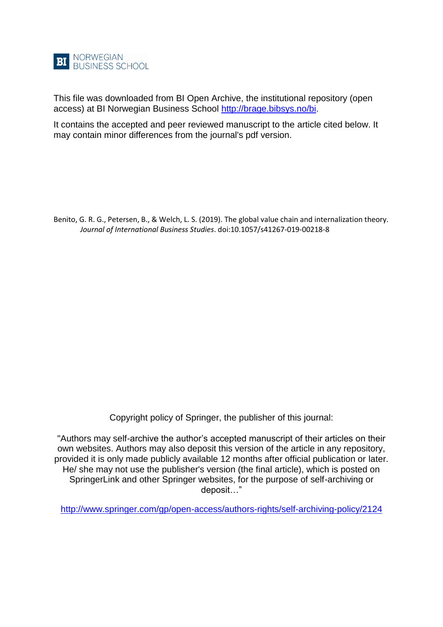

This file was downloaded from BI Open Archive, the institutional repository (open access) at BI Norwegian Business School [http://brage.bibsys.no/bi.](http://brage.bibsys.no/bi)

It contains the accepted and peer reviewed manuscript to the article cited below. It may contain minor differences from the journal's pdf version.

Benito, G. R. G., Petersen, B., & Welch, L. S. (2019). The global value chain and internalization theory. *Journal of International Business Studies*. doi:10.1057/s41267-019-00218-8

Copyright policy of Springer, the publisher of this journal:

"Authors may self-archive the author's accepted manuscript of their articles on their own websites. Authors may also deposit this version of the article in any repository, provided it is only made publicly available 12 months after official publication or later. He/ she may not use the publisher's version (the final article), which is posted on SpringerLink and other Springer websites, for the purpose of self-archiving or deposit…"

<http://www.springer.com/gp/open-access/authors-rights/self-archiving-policy/2124>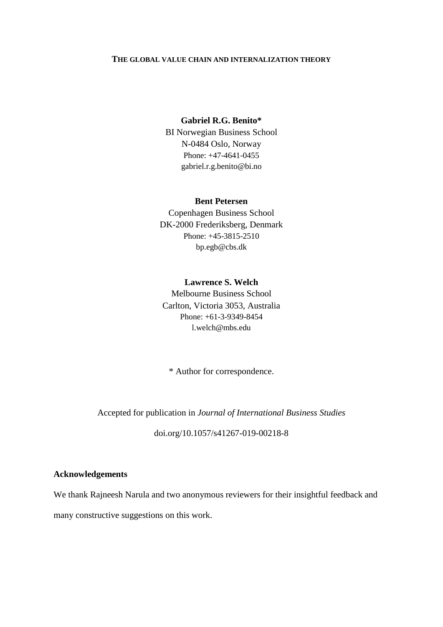## **THE GLOBAL VALUE CHAIN AND INTERNALIZATION THEORY**

# **Gabriel R.G. Benito\***

BI Norwegian Business School N-0484 Oslo, Norway Phone: +47-4641-0455 gabriel.r.g.benito@bi.no

## **Bent Petersen**

Copenhagen Business School DK-2000 Frederiksberg, Denmark Phone: +45-3815-2510 bp.egb@cbs.dk

# **Lawrence S. Welch**

Melbourne Business School Carlton, Victoria 3053, Australia Phone: +61-3-9349-8454 l.welch@mbs.edu

\* Author for correspondence.

# Accepted for publication in *Journal of International Business Studies*

doi.org/10.1057/s41267-019-00218-8

## **Acknowledgements**

We thank Rajneesh Narula and two anonymous reviewers for their insightful feedback and many constructive suggestions on this work.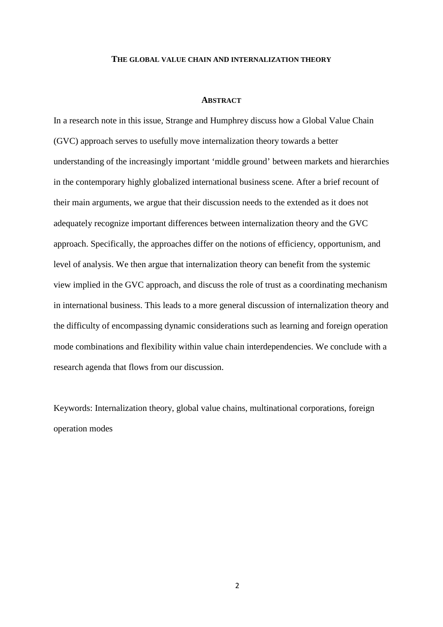### **THE GLOBAL VALUE CHAIN AND INTERNALIZATION THEORY**

#### **ABSTRACT**

In a research note in this issue, Strange and Humphrey discuss how a Global Value Chain (GVC) approach serves to usefully move internalization theory towards a better understanding of the increasingly important 'middle ground' between markets and hierarchies in the contemporary highly globalized international business scene. After a brief recount of their main arguments, we argue that their discussion needs to the extended as it does not adequately recognize important differences between internalization theory and the GVC approach. Specifically, the approaches differ on the notions of efficiency, opportunism, and level of analysis. We then argue that internalization theory can benefit from the systemic view implied in the GVC approach, and discuss the role of trust as a coordinating mechanism in international business. This leads to a more general discussion of internalization theory and the difficulty of encompassing dynamic considerations such as learning and foreign operation mode combinations and flexibility within value chain interdependencies. We conclude with a research agenda that flows from our discussion.

Keywords: Internalization theory, global value chains, multinational corporations, foreign operation modes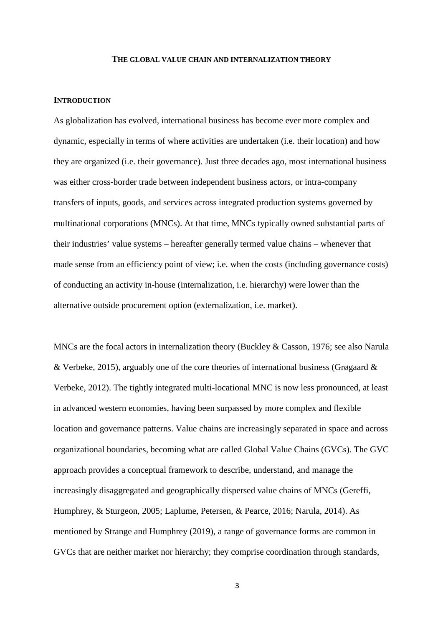### **THE GLOBAL VALUE CHAIN AND INTERNALIZATION THEORY**

#### **INTRODUCTION**

As globalization has evolved, international business has become ever more complex and dynamic, especially in terms of where activities are undertaken (i.e. their location) and how they are organized (i.e. their governance). Just three decades ago, most international business was either cross-border trade between independent business actors, or intra-company transfers of inputs, goods, and services across integrated production systems governed by multinational corporations (MNCs). At that time, MNCs typically owned substantial parts of their industries' value systems – hereafter generally termed value chains – whenever that made sense from an efficiency point of view; i.e. when the costs (including governance costs) of conducting an activity in-house (internalization, i.e. hierarchy) were lower than the alternative outside procurement option (externalization, i.e. market).

MNCs are the focal actors in internalization theory (Buckley & Casson, 1976; see also Narula & Verbeke, 2015), arguably one of the core theories of international business (Grøgaard & Verbeke, 2012). The tightly integrated multi-locational MNC is now less pronounced, at least in advanced western economies, having been surpassed by more complex and flexible location and governance patterns. Value chains are increasingly separated in space and across organizational boundaries, becoming what are called Global Value Chains (GVCs). The GVC approach provides a conceptual framework to describe, understand, and manage the increasingly disaggregated and geographically dispersed value chains of MNCs (Gereffi, Humphrey, & Sturgeon, 2005; Laplume, Petersen, & Pearce, 2016; Narula, 2014). As mentioned by Strange and Humphrey (2019), a range of governance forms are common in GVCs that are neither market nor hierarchy; they comprise coordination through standards,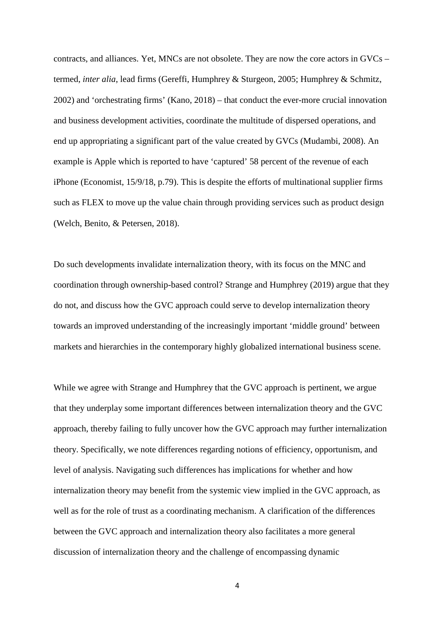contracts, and alliances. Yet, MNCs are not obsolete. They are now the core actors in GVCs – termed, *inter alia*, lead firms (Gereffi, Humphrey & Sturgeon, 2005; Humphrey & Schmitz, 2002) and 'orchestrating firms' (Kano, 2018) – that conduct the ever-more crucial innovation and business development activities, coordinate the multitude of dispersed operations, and end up appropriating a significant part of the value created by GVCs (Mudambi, 2008). An example is Apple which is reported to have 'captured' 58 percent of the revenue of each iPhone (Economist, 15/9/18, p.79). This is despite the efforts of multinational supplier firms such as FLEX to move up the value chain through providing services such as product design (Welch, Benito, & Petersen, 2018).

Do such developments invalidate internalization theory, with its focus on the MNC and coordination through ownership-based control? Strange and Humphrey (2019) argue that they do not, and discuss how the GVC approach could serve to develop internalization theory towards an improved understanding of the increasingly important 'middle ground' between markets and hierarchies in the contemporary highly globalized international business scene.

While we agree with Strange and Humphrey that the GVC approach is pertinent, we argue that they underplay some important differences between internalization theory and the GVC approach, thereby failing to fully uncover how the GVC approach may further internalization theory. Specifically, we note differences regarding notions of efficiency, opportunism, and level of analysis. Navigating such differences has implications for whether and how internalization theory may benefit from the systemic view implied in the GVC approach, as well as for the role of trust as a coordinating mechanism. A clarification of the differences between the GVC approach and internalization theory also facilitates a more general discussion of internalization theory and the challenge of encompassing dynamic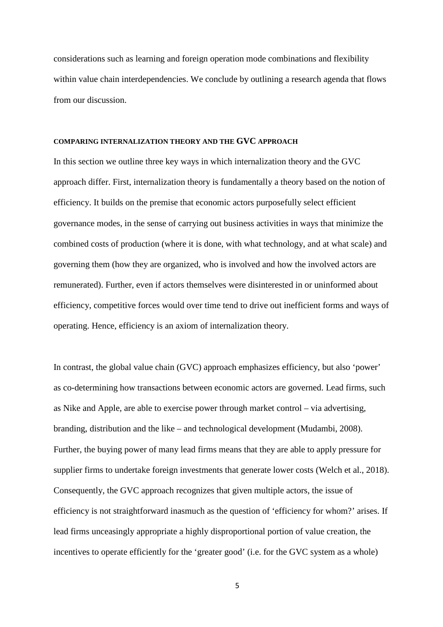considerations such as learning and foreign operation mode combinations and flexibility within value chain interdependencies. We conclude by outlining a research agenda that flows from our discussion.

### **COMPARING INTERNALIZATION THEORY AND THE GVC APPROACH**

In this section we outline three key ways in which internalization theory and the GVC approach differ. First, internalization theory is fundamentally a theory based on the notion of efficiency. It builds on the premise that economic actors purposefully select efficient governance modes, in the sense of carrying out business activities in ways that minimize the combined costs of production (where it is done, with what technology, and at what scale) and governing them (how they are organized, who is involved and how the involved actors are remunerated). Further, even if actors themselves were disinterested in or uninformed about efficiency, competitive forces would over time tend to drive out inefficient forms and ways of operating. Hence, efficiency is an axiom of internalization theory.

In contrast, the global value chain (GVC) approach emphasizes efficiency, but also 'power' as co-determining how transactions between economic actors are governed. Lead firms, such as Nike and Apple, are able to exercise power through market control – via advertising, branding, distribution and the like – and technological development (Mudambi, 2008). Further, the buying power of many lead firms means that they are able to apply pressure for supplier firms to undertake foreign investments that generate lower costs (Welch et al., 2018). Consequently, the GVC approach recognizes that given multiple actors, the issue of efficiency is not straightforward inasmuch as the question of 'efficiency for whom?' arises. If lead firms unceasingly appropriate a highly disproportional portion of value creation, the incentives to operate efficiently for the 'greater good' (i.e. for the GVC system as a whole)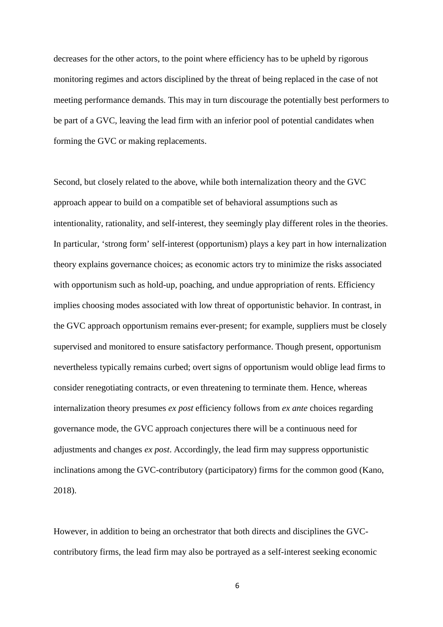decreases for the other actors, to the point where efficiency has to be upheld by rigorous monitoring regimes and actors disciplined by the threat of being replaced in the case of not meeting performance demands. This may in turn discourage the potentially best performers to be part of a GVC, leaving the lead firm with an inferior pool of potential candidates when forming the GVC or making replacements.

Second, but closely related to the above, while both internalization theory and the GVC approach appear to build on a compatible set of behavioral assumptions such as intentionality, rationality, and self-interest, they seemingly play different roles in the theories. In particular, 'strong form' self-interest (opportunism) plays a key part in how internalization theory explains governance choices; as economic actors try to minimize the risks associated with opportunism such as hold-up, poaching, and undue appropriation of rents. Efficiency implies choosing modes associated with low threat of opportunistic behavior. In contrast, in the GVC approach opportunism remains ever-present; for example, suppliers must be closely supervised and monitored to ensure satisfactory performance. Though present, opportunism nevertheless typically remains curbed; overt signs of opportunism would oblige lead firms to consider renegotiating contracts, or even threatening to terminate them. Hence, whereas internalization theory presumes *ex post* efficiency follows from *ex ante* choices regarding governance mode, the GVC approach conjectures there will be a continuous need for adjustments and changes *ex post*. Accordingly, the lead firm may suppress opportunistic inclinations among the GVC-contributory (participatory) firms for the common good (Kano, 2018).

However, in addition to being an orchestrator that both directs and disciplines the GVCcontributory firms, the lead firm may also be portrayed as a self-interest seeking economic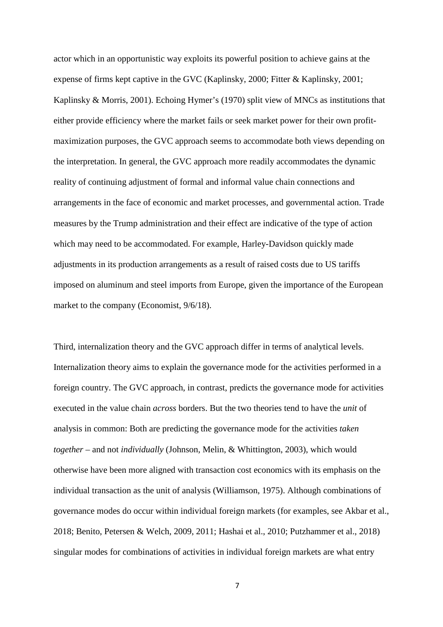actor which in an opportunistic way exploits its powerful position to achieve gains at the expense of firms kept captive in the GVC (Kaplinsky, 2000; Fitter & Kaplinsky, 2001; Kaplinsky & Morris, 2001). Echoing Hymer's (1970) split view of MNCs as institutions that either provide efficiency where the market fails or seek market power for their own profitmaximization purposes, the GVC approach seems to accommodate both views depending on the interpretation. In general, the GVC approach more readily accommodates the dynamic reality of continuing adjustment of formal and informal value chain connections and arrangements in the face of economic and market processes, and governmental action. Trade measures by the Trump administration and their effect are indicative of the type of action which may need to be accommodated. For example, Harley-Davidson quickly made adjustments in its production arrangements as a result of raised costs due to US tariffs imposed on aluminum and steel imports from Europe, given the importance of the European market to the company (Economist, 9/6/18).

Third, internalization theory and the GVC approach differ in terms of analytical levels. Internalization theory aims to explain the governance mode for the activities performed in a foreign country. The GVC approach, in contrast, predicts the governance mode for activities executed in the value chain *across* borders. But the two theories tend to have the *unit* of analysis in common: Both are predicting the governance mode for the activities *taken together* – and not *individually* (Johnson, Melin, & Whittington, 2003), which would otherwise have been more aligned with transaction cost economics with its emphasis on the individual transaction as the unit of analysis (Williamson, 1975). Although combinations of governance modes do occur within individual foreign markets (for examples, see Akbar et al., 2018; Benito, Petersen & Welch, 2009, 2011; Hashai et al., 2010; Putzhammer et al., 2018) singular modes for combinations of activities in individual foreign markets are what entry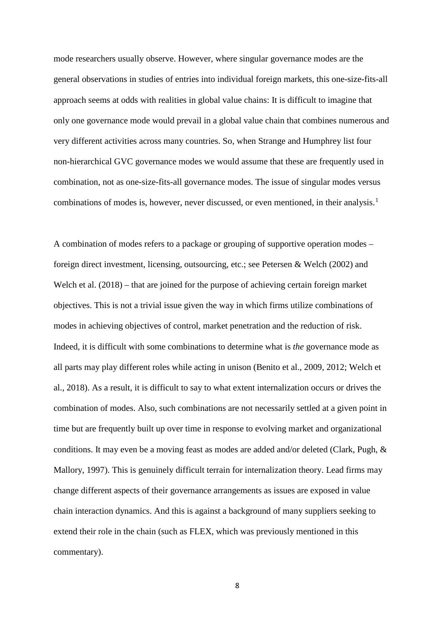mode researchers usually observe. However, where singular governance modes are the general observations in studies of entries into individual foreign markets, this one-size-fits-all approach seems at odds with realities in global value chains: It is difficult to imagine that only one governance mode would prevail in a global value chain that combines numerous and very different activities across many countries. So, when Strange and Humphrey list four non-hierarchical GVC governance modes we would assume that these are frequently used in combination, not as one-size-fits-all governance modes. The issue of singular modes versus combinations of modes is, however, never discussed, or even mentioned, in their analysis.<sup>[1](#page-25-0)</sup>

A combination of modes refers to a package or grouping of supportive operation modes – foreign direct investment, licensing, outsourcing, etc.; see Petersen & Welch (2002) and Welch et al. (2018) – that are joined for the purpose of achieving certain foreign market objectives. This is not a trivial issue given the way in which firms utilize combinations of modes in achieving objectives of control, market penetration and the reduction of risk. Indeed, it is difficult with some combinations to determine what is *the* governance mode as all parts may play different roles while acting in unison (Benito et al., 2009, 2012; Welch et al., 2018). As a result, it is difficult to say to what extent internalization occurs or drives the combination of modes. Also, such combinations are not necessarily settled at a given point in time but are frequently built up over time in response to evolving market and organizational conditions. It may even be a moving feast as modes are added and/or deleted (Clark, Pugh, & Mallory, 1997). This is genuinely difficult terrain for internalization theory. Lead firms may change different aspects of their governance arrangements as issues are exposed in value chain interaction dynamics. And this is against a background of many suppliers seeking to extend their role in the chain (such as FLEX, which was previously mentioned in this commentary).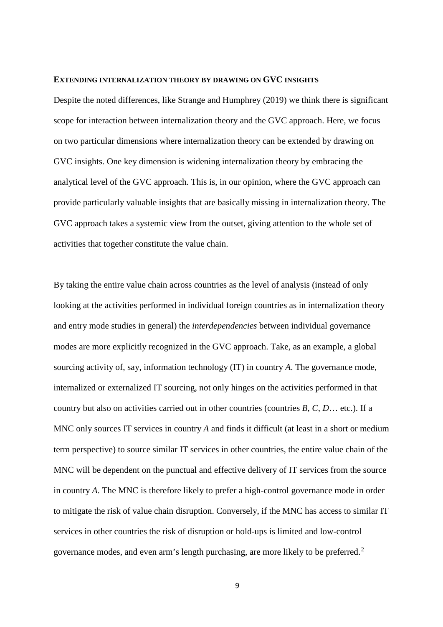#### **EXTENDING INTERNALIZATION THEORY BY DRAWING ON GVC INSIGHTS**

Despite the noted differences, like Strange and Humphrey (2019) we think there is significant scope for interaction between internalization theory and the GVC approach. Here, we focus on two particular dimensions where internalization theory can be extended by drawing on GVC insights. One key dimension is widening internalization theory by embracing the analytical level of the GVC approach. This is, in our opinion, where the GVC approach can provide particularly valuable insights that are basically missing in internalization theory. The GVC approach takes a systemic view from the outset, giving attention to the whole set of activities that together constitute the value chain.

By taking the entire value chain across countries as the level of analysis (instead of only looking at the activities performed in individual foreign countries as in internalization theory and entry mode studies in general) the *interdependencies* between individual governance modes are more explicitly recognized in the GVC approach. Take, as an example, a global sourcing activity of, say, information technology (IT) in country *A*. The governance mode, internalized or externalized IT sourcing, not only hinges on the activities performed in that country but also on activities carried out in other countries (countries *B*, *C*, *D*… etc.). If a MNC only sources IT services in country *A* and finds it difficult (at least in a short or medium term perspective) to source similar IT services in other countries, the entire value chain of the MNC will be dependent on the punctual and effective delivery of IT services from the source in country *A*. The MNC is therefore likely to prefer a high-control governance mode in order to mitigate the risk of value chain disruption. Conversely, if the MNC has access to similar IT services in other countries the risk of disruption or hold-ups is limited and low-control governance modes, and even arm's length purchasing, are more likely to be preferred.[2](#page-25-1)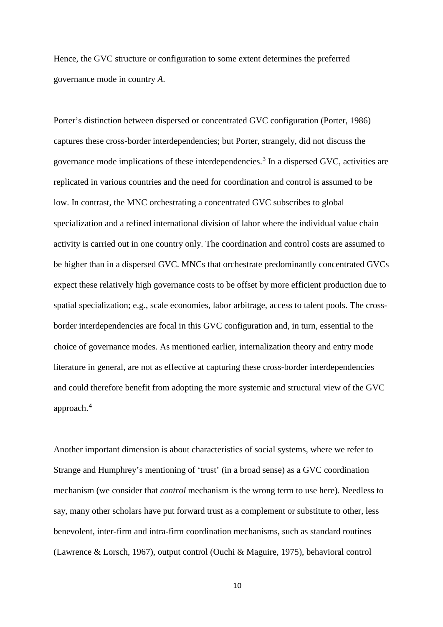Hence, the GVC structure or configuration to some extent determines the preferred governance mode in country *A*.

Porter's distinction between dispersed or concentrated GVC configuration (Porter, 1986) captures these cross-border interdependencies; but Porter, strangely, did not discuss the governance mode implications of these interdependencies. [3](#page-26-0) In a dispersed GVC, activities are replicated in various countries and the need for coordination and control is assumed to be low. In contrast, the MNC orchestrating a concentrated GVC subscribes to global specialization and a refined international division of labor where the individual value chain activity is carried out in one country only. The coordination and control costs are assumed to be higher than in a dispersed GVC. MNCs that orchestrate predominantly concentrated GVCs expect these relatively high governance costs to be offset by more efficient production due to spatial specialization; e.g., scale economies, labor arbitrage, access to talent pools. The crossborder interdependencies are focal in this GVC configuration and, in turn, essential to the choice of governance modes. As mentioned earlier, internalization theory and entry mode literature in general, are not as effective at capturing these cross-border interdependencies and could therefore benefit from adopting the more systemic and structural view of the GVC approach. [4](#page-26-1)

Another important dimension is about characteristics of social systems, where we refer to Strange and Humphrey's mentioning of 'trust' (in a broad sense) as a GVC coordination mechanism (we consider that *control* mechanism is the wrong term to use here). Needless to say, many other scholars have put forward trust as a complement or substitute to other, less benevolent, inter-firm and intra-firm coordination mechanisms, such as standard routines (Lawrence & Lorsch, 1967), output control (Ouchi & Maguire, 1975), behavioral control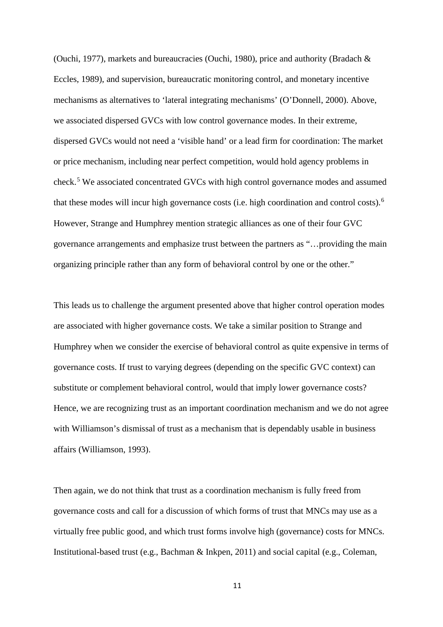(Ouchi, 1977), markets and bureaucracies (Ouchi, 1980), price and authority (Bradach & Eccles, 1989), and supervision, bureaucratic monitoring control, and monetary incentive mechanisms as alternatives to 'lateral integrating mechanisms' (O'Donnell, 2000). Above, we associated dispersed GVCs with low control governance modes. In their extreme, dispersed GVCs would not need a 'visible hand' or a lead firm for coordination: The market or price mechanism, including near perfect competition, would hold agency problems in check. [5](#page-27-0) We associated concentrated GVCs with high control governance modes and assumed that these modes will incur high governance costs (i.e. high coordination and control costs).<sup>[6](#page-27-1)</sup> However, Strange and Humphrey mention strategic alliances as one of their four GVC governance arrangements and emphasize trust between the partners as "…providing the main organizing principle rather than any form of behavioral control by one or the other."

This leads us to challenge the argument presented above that higher control operation modes are associated with higher governance costs. We take a similar position to Strange and Humphrey when we consider the exercise of behavioral control as quite expensive in terms of governance costs. If trust to varying degrees (depending on the specific GVC context) can substitute or complement behavioral control, would that imply lower governance costs? Hence, we are recognizing trust as an important coordination mechanism and we do not agree with Williamson's dismissal of trust as a mechanism that is dependably usable in business affairs (Williamson, 1993).

Then again, we do not think that trust as a coordination mechanism is fully freed from governance costs and call for a discussion of which forms of trust that MNCs may use as a virtually free public good, and which trust forms involve high (governance) costs for MNCs. Institutional-based trust (e.g., Bachman & Inkpen, 2011) and social capital (e.g., Coleman,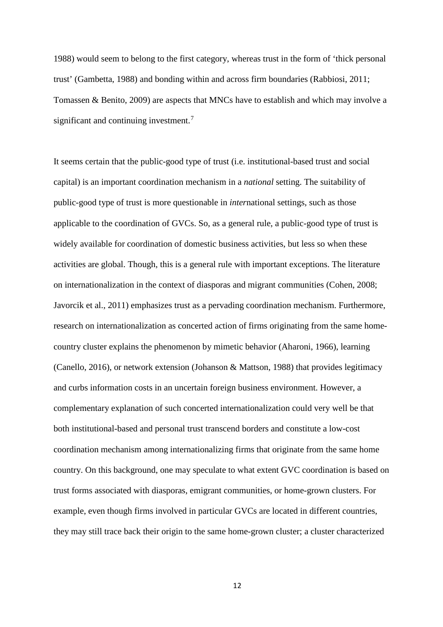1988) would seem to belong to the first category, whereas trust in the form of 'thick personal trust' (Gambetta, 1988) and bonding within and across firm boundaries (Rabbiosi, 2011; Tomassen & Benito, 2009) are aspects that MNCs have to establish and which may involve a significant and continuing investment.<sup>[7](#page-27-2)</sup>

It seems certain that the public-good type of trust (i.e. institutional-based trust and social capital) is an important coordination mechanism in a *national* setting. The suitability of public-good type of trust is more questionable in *inter*national settings, such as those applicable to the coordination of GVCs. So, as a general rule, a public-good type of trust is widely available for coordination of domestic business activities, but less so when these activities are global. Though, this is a general rule with important exceptions. The literature on internationalization in the context of diasporas and migrant communities (Cohen, 2008; Javorcik et al., 2011) emphasizes trust as a pervading coordination mechanism. Furthermore, research on internationalization as concerted action of firms originating from the same homecountry cluster explains the phenomenon by mimetic behavior (Aharoni, 1966), learning (Canello, 2016), or network extension (Johanson & Mattson, 1988) that provides legitimacy and curbs information costs in an uncertain foreign business environment. However, a complementary explanation of such concerted internationalization could very well be that both institutional-based and personal trust transcend borders and constitute a low-cost coordination mechanism among internationalizing firms that originate from the same home country. On this background, one may speculate to what extent GVC coordination is based on trust forms associated with diasporas, emigrant communities, or home-grown clusters. For example, even though firms involved in particular GVCs are located in different countries, they may still trace back their origin to the same home-grown cluster; a cluster characterized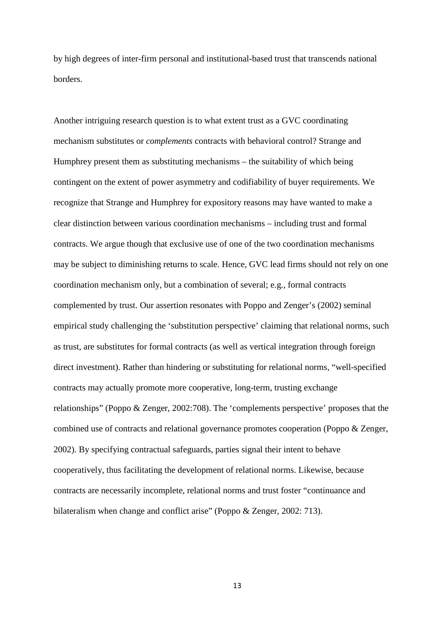by high degrees of inter-firm personal and institutional-based trust that transcends national borders.

Another intriguing research question is to what extent trust as a GVC coordinating mechanism substitutes or *complements* contracts with behavioral control? Strange and Humphrey present them as substituting mechanisms – the suitability of which being contingent on the extent of power asymmetry and codifiability of buyer requirements. We recognize that Strange and Humphrey for expository reasons may have wanted to make a clear distinction between various coordination mechanisms – including trust and formal contracts. We argue though that exclusive use of one of the two coordination mechanisms may be subject to diminishing returns to scale. Hence, GVC lead firms should not rely on one coordination mechanism only, but a combination of several; e.g., formal contracts complemented by trust. Our assertion resonates with Poppo and Zenger's (2002) seminal empirical study challenging the 'substitution perspective' claiming that relational norms, such as trust, are substitutes for formal contracts (as well as vertical integration through foreign direct investment). Rather than hindering or substituting for relational norms, "well-specified contracts may actually promote more cooperative, long-term, trusting exchange relationships" (Poppo & Zenger, 2002:708). The 'complements perspective' proposes that the combined use of contracts and relational governance promotes cooperation (Poppo & Zenger, 2002). By specifying contractual safeguards, parties signal their intent to behave cooperatively, thus facilitating the development of relational norms. Likewise, because contracts are necessarily incomplete, relational norms and trust foster "continuance and bilateralism when change and conflict arise" (Poppo & Zenger, 2002: 713).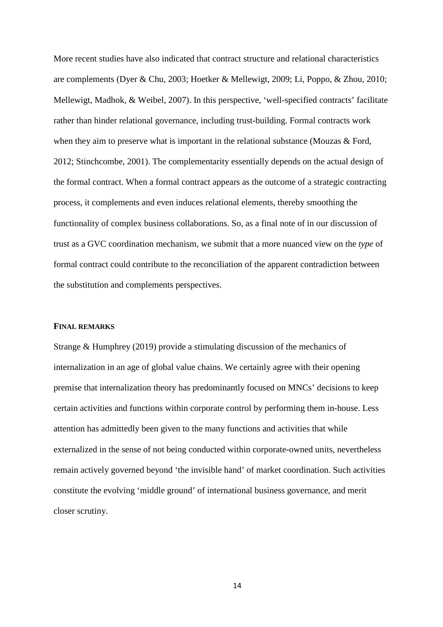More recent studies have also indicated that contract structure and relational characteristics are complements (Dyer & Chu, 2003; Hoetker & Mellewigt, 2009; Li, Poppo, & Zhou, 2010; Mellewigt, Madhok, & Weibel, 2007). In this perspective, 'well-specified contracts' facilitate rather than hinder relational governance, including trust-building. Formal contracts work when they aim to preserve what is important in the relational substance (Mouzas & Ford, 2012; Stinchcombe, 2001). The complementarity essentially depends on the actual design of the formal contract. When a formal contract appears as the outcome of a strategic contracting process, it complements and even induces relational elements, thereby smoothing the functionality of complex business collaborations. So, as a final note of in our discussion of trust as a GVC coordination mechanism, we submit that a more nuanced view on the *type* of formal contract could contribute to the reconciliation of the apparent contradiction between the substitution and complements perspectives.

#### **FINAL REMARKS**

Strange & Humphrey (2019) provide a stimulating discussion of the mechanics of internalization in an age of global value chains. We certainly agree with their opening premise that internalization theory has predominantly focused on MNCs' decisions to keep certain activities and functions within corporate control by performing them in-house. Less attention has admittedly been given to the many functions and activities that while externalized in the sense of not being conducted within corporate-owned units, nevertheless remain actively governed beyond 'the invisible hand' of market coordination. Such activities constitute the evolving 'middle ground' of international business governance, and merit closer scrutiny.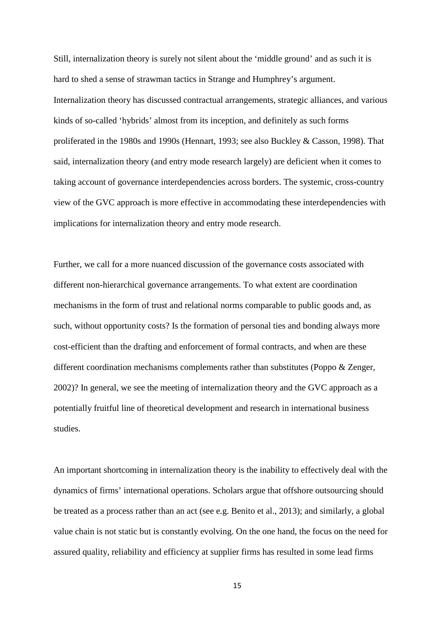Still, internalization theory is surely not silent about the 'middle ground' and as such it is hard to shed a sense of strawman tactics in Strange and Humphrey's argument. Internalization theory has discussed contractual arrangements, strategic alliances, and various kinds of so-called 'hybrids' almost from its inception, and definitely as such forms proliferated in the 1980s and 1990s (Hennart, 1993; see also Buckley & Casson, 1998). That said, internalization theory (and entry mode research largely) are deficient when it comes to taking account of governance interdependencies across borders. The systemic, cross-country view of the GVC approach is more effective in accommodating these interdependencies with implications for internalization theory and entry mode research.

Further, we call for a more nuanced discussion of the governance costs associated with different non-hierarchical governance arrangements. To what extent are coordination mechanisms in the form of trust and relational norms comparable to public goods and, as such, without opportunity costs? Is the formation of personal ties and bonding always more cost-efficient than the drafting and enforcement of formal contracts, and when are these different coordination mechanisms complements rather than substitutes (Poppo & Zenger, 2002)? In general, we see the meeting of internalization theory and the GVC approach as a potentially fruitful line of theoretical development and research in international business studies.

An important shortcoming in internalization theory is the inability to effectively deal with the dynamics of firms' international operations. Scholars argue that offshore outsourcing should be treated as a process rather than an act (see e.g. Benito et al., 2013); and similarly, a global value chain is not static but is constantly evolving. On the one hand, the focus on the need for assured quality, reliability and efficiency at supplier firms has resulted in some lead firms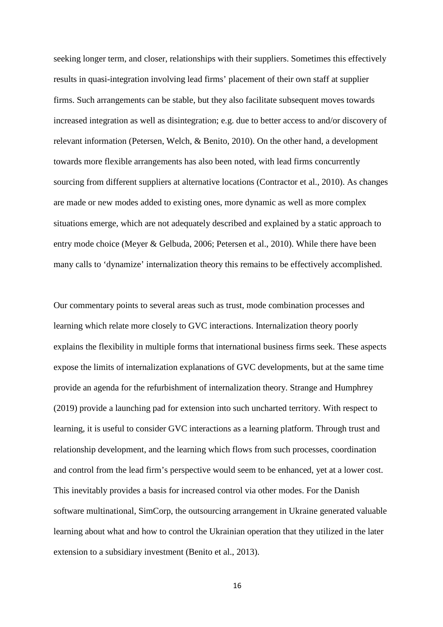seeking longer term, and closer, relationships with their suppliers. Sometimes this effectively results in quasi-integration involving lead firms' placement of their own staff at supplier firms. Such arrangements can be stable, but they also facilitate subsequent moves towards increased integration as well as disintegration; e.g. due to better access to and/or discovery of relevant information (Petersen, Welch, & Benito, 2010). On the other hand, a development towards more flexible arrangements has also been noted, with lead firms concurrently sourcing from different suppliers at alternative locations (Contractor et al., 2010). As changes are made or new modes added to existing ones, more dynamic as well as more complex situations emerge, which are not adequately described and explained by a static approach to entry mode choice (Meyer & Gelbuda, 2006; Petersen et al., 2010). While there have been many calls to 'dynamize' internalization theory this remains to be effectively accomplished.

Our commentary points to several areas such as trust, mode combination processes and learning which relate more closely to GVC interactions. Internalization theory poorly explains the flexibility in multiple forms that international business firms seek. These aspects expose the limits of internalization explanations of GVC developments, but at the same time provide an agenda for the refurbishment of internalization theory. Strange and Humphrey (2019) provide a launching pad for extension into such uncharted territory. With respect to learning, it is useful to consider GVC interactions as a learning platform. Through trust and relationship development, and the learning which flows from such processes, coordination and control from the lead firm's perspective would seem to be enhanced, yet at a lower cost. This inevitably provides a basis for increased control via other modes. For the Danish software multinational, SimCorp, the outsourcing arrangement in Ukraine generated valuable learning about what and how to control the Ukrainian operation that they utilized in the later extension to a subsidiary investment (Benito et al., 2013).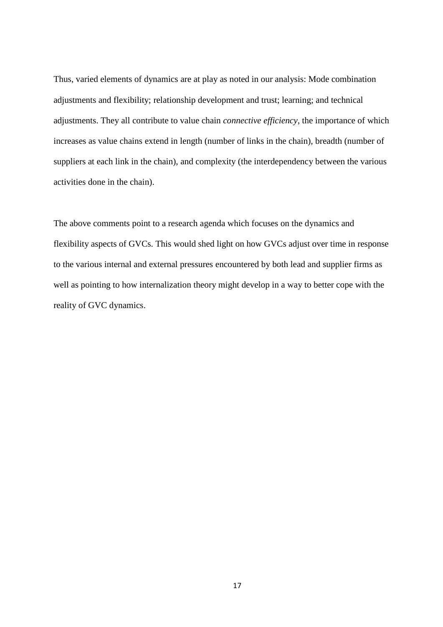Thus, varied elements of dynamics are at play as noted in our analysis: Mode combination adjustments and flexibility; relationship development and trust; learning; and technical adjustments. They all contribute to value chain *connective efficiency*, the importance of which increases as value chains extend in length (number of links in the chain), breadth (number of suppliers at each link in the chain), and complexity (the interdependency between the various activities done in the chain).

The above comments point to a research agenda which focuses on the dynamics and flexibility aspects of GVCs. This would shed light on how GVCs adjust over time in response to the various internal and external pressures encountered by both lead and supplier firms as well as pointing to how internalization theory might develop in a way to better cope with the reality of GVC dynamics.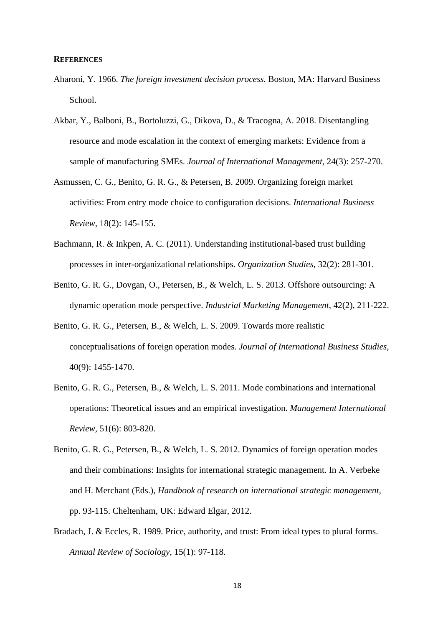### **REFERENCES**

- Aharoni, Y. 1966. *The foreign investment decision process.* Boston, MA: Harvard Business School.
- Akbar, Y., Balboni, B., Bortoluzzi, G., Dikova, D., & Tracogna, A. 2018. Disentangling resource and mode escalation in the context of emerging markets: Evidence from a sample of manufacturing SMEs. *Journal of International Management*, 24(3): 257-270.
- Asmussen, C. G., Benito, G. R. G., & Petersen, B. 2009. Organizing foreign market activities: From entry mode choice to configuration decisions. *International Business Review*, 18(2): 145-155.
- Bachmann, R. & Inkpen, A. C. (2011). Understanding institutional-based trust building processes in inter-organizational relationships. *Organization Studies*, 32(2): 281-301.
- Benito, G. R. G., Dovgan, O., Petersen, B., & Welch, L. S. 2013. Offshore outsourcing: A dynamic operation mode perspective. *Industrial Marketing Management*, 42(2), 211-222.
- Benito, G. R. G., Petersen, B., & Welch, L. S. 2009. Towards more realistic conceptualisations of foreign operation modes. *Journal of International Business Studies*, 40(9): 1455-1470.
- Benito, G. R. G., Petersen, B., & Welch, L. S. 2011. Mode combinations and international operations: Theoretical issues and an empirical investigation. *Management International Review*, 51(6): 803-820.
- Benito, G. R. G., Petersen, B., & Welch, L. S. 2012. Dynamics of foreign operation modes and their combinations: Insights for international strategic management. In A. Verbeke and H. Merchant (Eds.), *Handbook of research on international strategic management*, pp. 93-115. Cheltenham, UK: Edward Elgar, 2012.
- Bradach, J. & Eccles, R. 1989. Price, authority, and trust: From ideal types to plural forms. *Annual Review of Sociology*, 15(1): 97-118.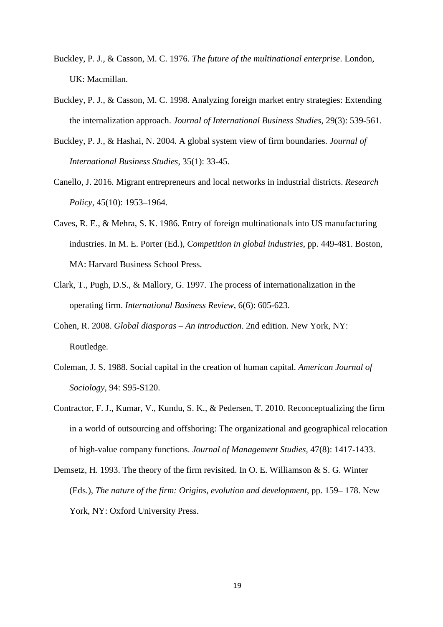- Buckley, P. J., & Casson, M. C. 1976. *The future of the multinational enterprise*. London, UK: Macmillan.
- Buckley, P. J., & Casson, M. C. 1998. Analyzing foreign market entry strategies: Extending the internalization approach. *Journal of International Business Studies*, 29(3): 539-561.
- Buckley, P. J., & Hashai, N. 2004. A global system view of firm boundaries. *Journal of International Business Studies*, 35(1): 33-45.
- Canello, J. 2016. Migrant entrepreneurs and local networks in industrial districts. *Research Policy*, 45(10): 1953–1964.
- Caves, R. E., & Mehra, S. K. 1986. Entry of foreign multinationals into US manufacturing industries. In M. E. Porter (Ed.), *Competition in global industries*, pp. 449-481. Boston, MA: Harvard Business School Press.
- Clark, T., Pugh, D.S., & Mallory, G. 1997. The process of internationalization in the operating firm. *International Business Review*, 6(6): 605-623.
- Cohen, R. 2008. *Global diasporas – An introduction*. 2nd edition. New York, NY: Routledge.
- Coleman, J. S. 1988. Social capital in the creation of human capital. *American Journal of Sociology*, 94: S95-S120.
- Contractor, F. J., Kumar, V., Kundu, S. K., & Pedersen, T. 2010. Reconceptualizing the firm in a world of outsourcing and offshoring: The organizational and geographical relocation of high-value company functions. *Journal of Management Studies*, 47(8): 1417-1433.
- Demsetz, H. 1993. The theory of the firm revisited. In O. E. Williamson & S. G. Winter (Eds.), *The nature of the firm: Origins, evolution and development*, pp. 159– 178. New York, NY: Oxford University Press.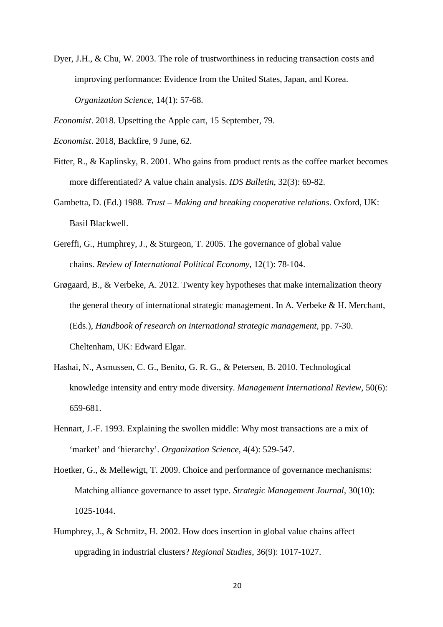Dyer, J.H., & Chu, W. 2003. The role of trustworthiness in reducing transaction costs and improving performance: Evidence from the United States, Japan, and Korea. *Organization Science*, 14(1): 57-68.

*Economist*. 2018. Upsetting the Apple cart, 15 September, 79.

- *Economist*. 2018, Backfire, 9 June, 62.
- Fitter, R., & Kaplinsky, R. 2001. Who gains from product rents as the coffee market becomes more differentiated? A value chain analysis. *IDS Bulletin*, 32(3): 69-82.
- Gambetta, D. (Ed.) 1988. *Trust – Making and breaking cooperative relations*. Oxford, UK: Basil Blackwell.
- Gereffi, G., Humphrey, J., & Sturgeon, T. 2005. The governance of global value chains. *Review of International Political Economy*, 12(1): 78-104.
- Grøgaard, B., & Verbeke, A. 2012. Twenty key hypotheses that make internalization theory the general theory of international strategic management. In A. Verbeke & H. Merchant, (Eds.), *Handbook of research on international strategic management*, pp. 7-30. Cheltenham, UK: Edward Elgar.
- Hashai, N., Asmussen, C. G., Benito, G. R. G., & Petersen, B. 2010. Technological knowledge intensity and entry mode diversity. *Management International Review*, 50(6): 659-681.
- Hennart, J.-F. 1993. Explaining the swollen middle: Why most transactions are a mix of 'market' and 'hierarchy'. *Organization Science*, 4(4): 529-547.
- Hoetker, G., & Mellewigt, T. 2009. Choice and performance of governance mechanisms: Matching alliance governance to asset type. *Strategic Management Journal*, 30(10): 1025-1044.
- Humphrey, J., & Schmitz, H. 2002. How does insertion in global value chains affect upgrading in industrial clusters? *Regional Studies*, 36(9): 1017-1027.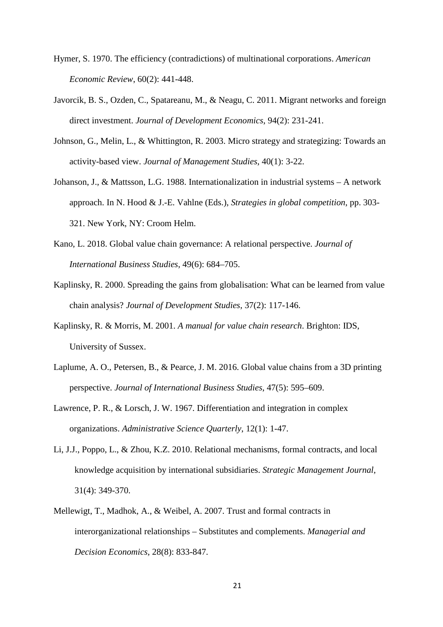- Hymer, S. 1970. The efficiency (contradictions) of multinational corporations. *American Economic Review*, 60(2): 441-448.
- Javorcik, B. S., Ozden, C., Spatareanu, M., & Neagu, C. 2011. Migrant networks and foreign direct investment. *Journal of Development Economics*, 94(2): 231-241.
- Johnson, G., Melin, L., & Whittington, R. 2003. Micro strategy and strategizing: Towards an activity-based view. *Journal of Management Studies*, 40(1): 3-22.
- Johanson, J., & Mattsson, L.G. 1988. Internationalization in industrial systems A network approach. In N. Hood & J.-E. Vahlne (Eds.), *Strategies in global competition*, pp. 303- 321. New York, NY: Croom Helm.
- Kano, L. 2018. Global value chain governance: A relational perspective. *Journal of International Business Studies*, 49(6): 684–705.
- Kaplinsky, R. 2000. Spreading the gains from globalisation: What can be learned from value chain analysis? *Journal of Development Studies*, 37(2): 117-146.
- Kaplinsky, R. & Morris, M. 2001. *A manual for value chain research*. Brighton: IDS, University of Sussex.
- Laplume, A. O., Petersen, B., & Pearce, J. M. 2016. Global value chains from a 3D printing perspective. *Journal of International Business Studies*, 47(5): 595–609.
- Lawrence, P. R., & Lorsch, J. W. 1967. Differentiation and integration in complex organizations. *Administrative Science Quarterly*, 12(1): 1-47.
- Li, J.J., Poppo, L., & Zhou, K.Z. 2010. Relational mechanisms, formal contracts, and local knowledge acquisition by international subsidiaries. *Strategic Management Journal*, 31(4): 349-370.
- Mellewigt, T., Madhok, A., & Weibel, A. 2007. Trust and formal contracts in interorganizational relationships – Substitutes and complements. *Managerial and Decision Economics*, 28(8): 833-847.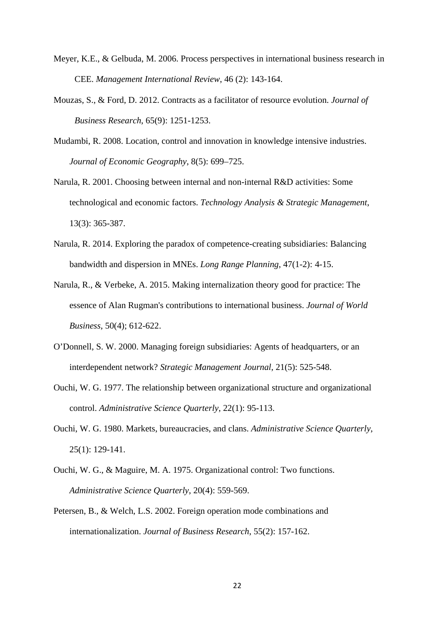- Meyer, K.E., & Gelbuda, M. 2006. Process perspectives in international business research in CEE. *Management International Review*, 46 (2): 143-164.
- Mouzas, S., & Ford, D. 2012. Contracts as a facilitator of resource evolution. *Journal of Business Research*, 65(9): 1251-1253.
- Mudambi, R. 2008. Location, control and innovation in knowledge intensive industries. *Journal of Economic Geography*, 8(5): 699–725.
- Narula, R. 2001. Choosing between internal and non-internal R&D activities: Some technological and economic factors. *Technology Analysis & Strategic Management*, 13(3): 365-387.
- Narula, R. 2014. Exploring the paradox of competence-creating subsidiaries: Balancing bandwidth and dispersion in MNEs. *Long Range Planning*, 47(1-2): 4-15.
- Narula, R., & Verbeke, A. 2015. Making internalization theory good for practice: The essence of Alan Rugman's contributions to international business. *Journal of World Business*, 50(4); 612-622.
- O'Donnell, S. W. 2000. Managing foreign subsidiaries: Agents of headquarters, or an interdependent network? *Strategic Management Journal*, 21(5): 525-548.
- Ouchi, W. G. 1977. The relationship between organizational structure and organizational control. *Administrative Science Quarterly*, 22(1): 95-113.
- Ouchi, W. G. 1980. Markets, bureaucracies, and clans. *Administrative Science Quarterly*, 25(1): 129-141.
- Ouchi, W. G., & Maguire, M. A. 1975. Organizational control: Two functions. *Administrative Science Quarterly*, 20(4): 559-569.
- Petersen, B., & Welch, L.S. 2002. Foreign operation mode combinations and internationalization. *Journal of Business Research*, 55(2): 157-162.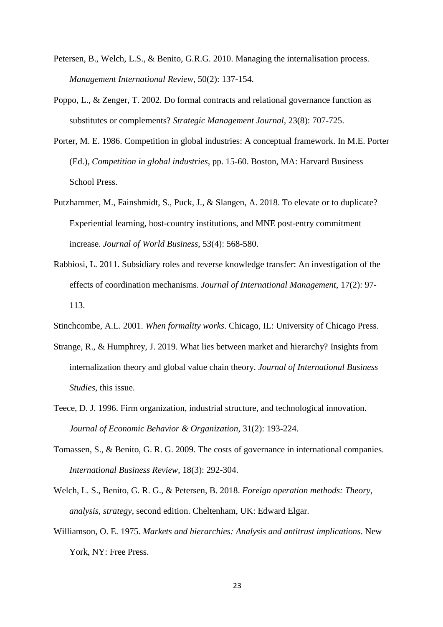- Petersen, B., Welch, L.S., & Benito, G.R.G. 2010. Managing the internalisation process. *Management International Review*, 50(2): 137-154.
- Poppo, L., & Zenger, T. 2002. Do formal contracts and relational governance function as substitutes or complements? *Strategic Management Journal*, 23(8): 707-725.
- Porter, M. E. 1986. Competition in global industries: A conceptual framework. In M.E. Porter (Ed.), *Competition in global industries*, pp. 15-60. Boston, MA: Harvard Business School Press.
- Putzhammer, M., Fainshmidt, S., Puck, J., & Slangen, A. 2018. To elevate or to duplicate? Experiential learning, host-country institutions, and MNE post-entry commitment increase. *Journal of World Business*, 53(4): 568-580.
- Rabbiosi, L. 2011. Subsidiary roles and reverse knowledge transfer: An investigation of the effects of coordination mechanisms. *Journal of International Management*, 17(2): 97- 113.
- Stinchcombe, A.L. 2001. *When formality works*. Chicago, IL: University of Chicago Press.
- Strange, R., & Humphrey, J. 2019. What lies between market and hierarchy? Insights from internalization theory and global value chain theory. *Journal of International Business Studies*, this issue.
- Teece, D. J. 1996. Firm organization, industrial structure, and technological innovation. *Journal of Economic Behavior & Organization*, 31(2): 193-224.
- Tomassen, S., & Benito, G. R. G. 2009. The costs of governance in international companies. *International Business Review*, 18(3): 292-304.
- Welch, L. S., Benito, G. R. G., & Petersen, B. 2018. *Foreign operation methods: Theory, analysis, strategy*, second edition. Cheltenham, UK: Edward Elgar.
- Williamson, O. E. 1975. *Markets and hierarchies: Analysis and antitrust implications*. New York, NY: Free Press.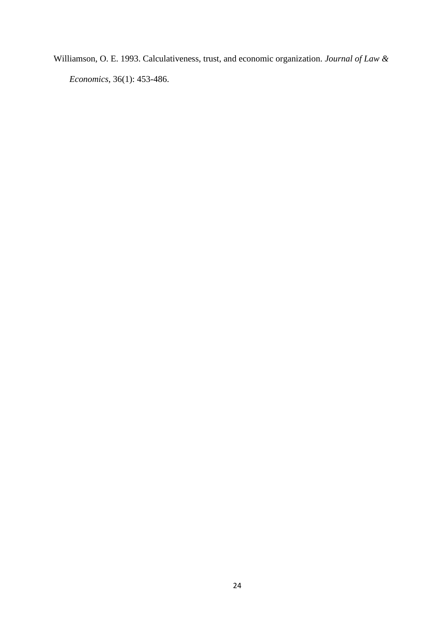Williamson, O. E. 1993. Calculativeness, trust, and economic organization. *Journal of Law & Economics*, 36(1): 453-486.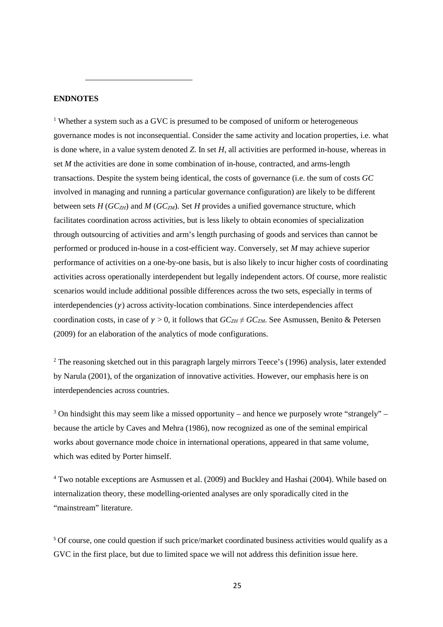### <span id="page-25-0"></span>**ENDNOTES**

 $\overline{\phantom{a}}$ 

<sup>1</sup> Whether a system such as a GVC is presumed to be composed of uniform or heterogeneous governance modes is not inconsequential. Consider the same activity and location properties, i.e. what is done where, in a value system denoted *Z*. In set *H*, all activities are performed in-house, whereas in set *M* the activities are done in some combination of in-house, contracted, and arms-length transactions. Despite the system being identical, the costs of governance (i.e. the sum of costs *GC* involved in managing and running a particular governance configuration) are likely to be different between sets  $H(GC_{ZH})$  and  $M(GC_{ZM})$ . Set  $H$  provides a unified governance structure, which facilitates coordination across activities, but is less likely to obtain economies of specialization through outsourcing of activities and arm's length purchasing of goods and services than cannot be performed or produced in-house in a cost-efficient way. Conversely, set *M* may achieve superior performance of activities on a one-by-one basis, but is also likely to incur higher costs of coordinating activities across operationally interdependent but legally independent actors. Of course, more realistic scenarios would include additional possible differences across the two sets, especially in terms of interdependencies  $(y)$  across activity-location combinations. Since interdependencies affect coordination costs, in case of  $\gamma > 0$ , it follows that  $GC_{ZH} \neq GC_{ZM}$ . See Asmussen, Benito & Petersen (2009) for an elaboration of the analytics of mode configurations.

<span id="page-25-1"></span><sup>2</sup> The reasoning sketched out in this paragraph largely mirrors Teece's (1996) analysis, later extended by Narula (2001), of the organization of innovative activities. However, our emphasis here is on interdependencies across countries.

 $3$  On hindsight this may seem like a missed opportunity – and hence we purposely wrote "strangely" – because the article by Caves and Mehra (1986), now recognized as one of the seminal empirical works about governance mode choice in international operations, appeared in that same volume, which was edited by Porter himself.

<sup>4</sup> Two notable exceptions are Asmussen et al. (2009) and Buckley and Hashai (2004). While based on internalization theory, these modelling-oriented analyses are only sporadically cited in the "mainstream" literature.

<sup>5</sup> Of course, one could question if such price/market coordinated business activities would qualify as a GVC in the first place, but due to limited space we will not address this definition issue here.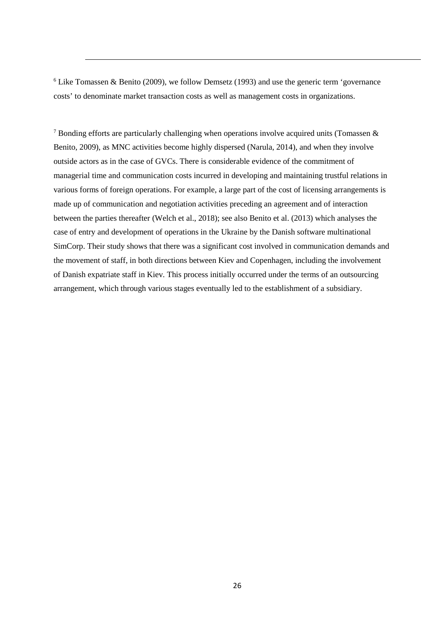$6$  Like Tomassen & Benito (2009), we follow Demsetz (1993) and use the generic term 'governance costs' to denominate market transaction costs as well as management costs in organizations.

<u>.</u>

<span id="page-26-1"></span><span id="page-26-0"></span><sup>7</sup> Bonding efforts are particularly challenging when operations involve acquired units (Tomassen  $\&$ Benito, 2009), as MNC activities become highly dispersed (Narula, 2014), and when they involve outside actors as in the case of GVCs. There is considerable evidence of the commitment of managerial time and communication costs incurred in developing and maintaining trustful relations in various forms of foreign operations. For example, a large part of the cost of licensing arrangements is made up of communication and negotiation activities preceding an agreement and of interaction between the parties thereafter (Welch et al., 2018); see also Benito et al. (2013) which analyses the case of entry and development of operations in the Ukraine by the Danish software multinational SimCorp. Their study shows that there was a significant cost involved in communication demands and the movement of staff, in both directions between Kiev and Copenhagen, including the involvement of Danish expatriate staff in Kiev. This process initially occurred under the terms of an outsourcing arrangement, which through various stages eventually led to the establishment of a subsidiary.